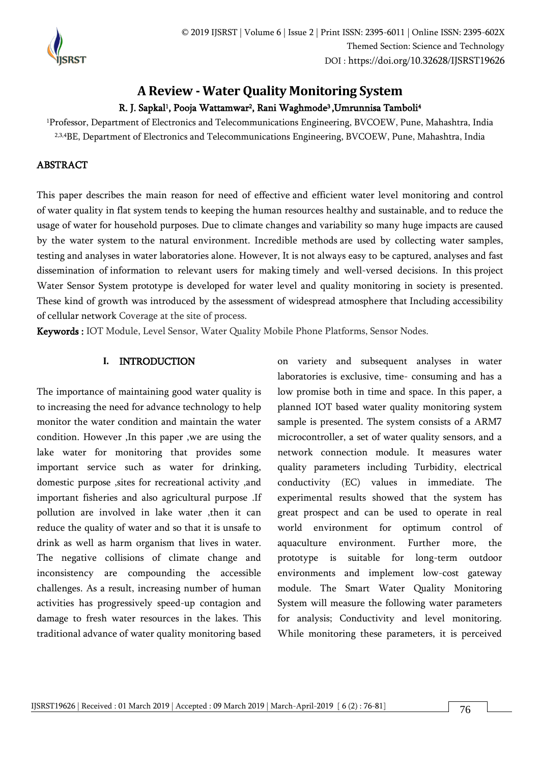

# **A Review - Water Quality Monitoring System**

# R. J. Sapkal<sup>1</sup>, Pooja Wattamwar<sup>2</sup>, Rani Waghmode<sup>3</sup>,Umrunnisa Tamboli<sup>4</sup>

<sup>1</sup>Professor, Department of Electronics and Telecommunications Engineering, BVCOEW, Pune, Mahashtra, India <sup>2,3,4</sup>BE, Department of Electronics and Telecommunications Engineering, BVCOEW, Pune, Mahashtra, India

# ABSTRACT

This paper describes the main reason for need of effective and efficient water level monitoring and control of water quality in flat system tends to keeping the human resources healthy and sustainable, and to reduce the usage of water for household purposes. Due to climate changes and variability so many huge impacts are caused by the water system to the natural environment. Incredible methods are used by collecting water samples, testing and analyses in water laboratories alone. However, It is not always easy to be captured, analyses and fast dissemination of information to relevant users for making timely and well-versed decisions. In this project Water Sensor System prototype is developed for water level and quality monitoring in society is presented. These kind of growth was introduced by the assessment of widespread atmosphere that Including accessibility of cellular network Coverage at the site of process.

Keywords : IOT Module, Level Sensor, Water Quality Mobile Phone Platforms, Sensor Nodes.

### **I.** INTRODUCTION

The importance of maintaining good water quality is to increasing the need for advance technology to help monitor the water condition and maintain the water condition. However ,In this paper ,we are using the lake water for monitoring that provides some important service such as water for drinking, domestic purpose ,sites for recreational activity ,and important fisheries and also agricultural purpose .If pollution are involved in lake water ,then it can reduce the quality of water and so that it is unsafe to drink as well as harm organism that lives in water. The negative collisions of climate change and inconsistency are compounding the accessible challenges. As a result, increasing number of human activities has progressively speed-up contagion and damage to fresh water resources in the lakes. This traditional advance of water quality monitoring based

on variety and subsequent analyses in water laboratories is exclusive, time- consuming and has a low promise both in time and space. In this paper, a planned IOT based water quality monitoring system sample is presented. The system consists of a ARM7 microcontroller, a set of water quality sensors, and a network connection module. It measures water quality parameters including Turbidity, electrical conductivity (EC) values in immediate. The experimental results showed that the system has great prospect and can be used to operate in real world environment for optimum control of aquaculture environment. Further more, the prototype is suitable for long-term outdoor environments and implement low-cost gateway module. The Smart Water Quality Monitoring System will measure the following water parameters for analysis; Conductivity and level monitoring. While monitoring these parameters, it is perceived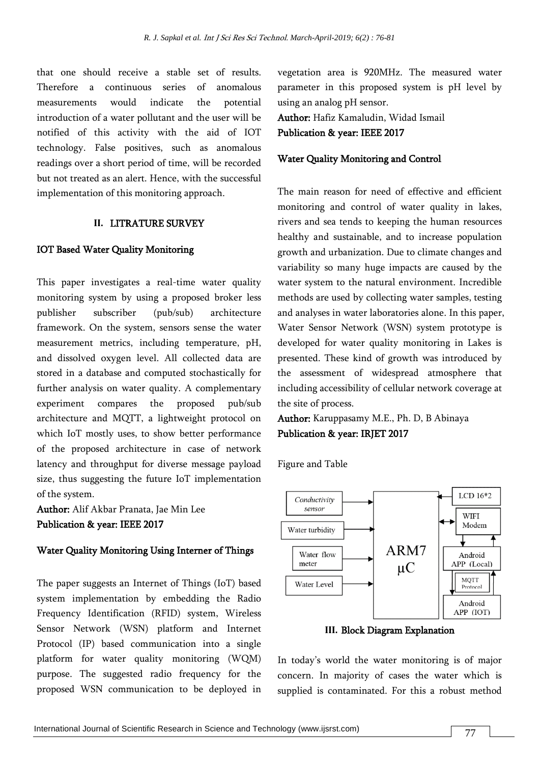that one should receive a stable set of results. Therefore a continuous series of anomalous measurements would indicate the potential introduction of a water pollutant and the user will be notified of this activity with the aid of IOT technology. False positives, such as anomalous readings over a short period of time, will be recorded but not treated as an alert. Hence, with the successful implementation of this monitoring approach.

### **II.** LITRATURE SURVEY

#### IOT Based Water Quality Monitoring

This paper investigates a real-time water quality monitoring system by using a proposed broker less publisher subscriber (pub/sub) architecture framework. On the system, sensors sense the water measurement metrics, including temperature, pH, and dissolved oxygen level. All collected data are stored in a database and computed stochastically for further analysis on water quality. A complementary experiment compares the proposed pub/sub architecture and MQTT, a lightweight protocol on which IoT mostly uses, to show better performance of the proposed architecture in case of network latency and throughput for diverse message payload size, thus suggesting the future IoT implementation of the system.

Author: Alif Akbar Pranata, Jae Min Lee Publication & year: IEEE 2017

## Water Quality Monitoring Using Interner of Things

The paper suggests an Internet of Things (IoT) based system implementation by embedding the Radio Frequency Identification (RFID) system, Wireless Sensor Network (WSN) platform and Internet Protocol (IP) based communication into a single platform for water quality monitoring (WQM) purpose. The suggested radio frequency for the proposed WSN communication to be deployed in

vegetation area is 920MHz. The measured water parameter in this proposed system is pH level by using an analog pH sensor.

Author: Hafiz Kamaludin, Widad Ismail Publication & year: IEEE 2017

#### Water Quality Monitoring and Control

The main reason for need of effective and efficient monitoring and control of water quality in lakes, rivers and sea tends to keeping the human resources healthy and sustainable, and to increase population growth and urbanization. Due to climate changes and variability so many huge impacts are caused by the water system to the natural environment. Incredible methods are used by collecting water samples, testing and analyses in water laboratories alone. In this paper, Water Sensor Network (WSN) system prototype is developed for water quality monitoring in Lakes is presented. These kind of growth was introduced by the assessment of widespread atmosphere that including accessibility of cellular network coverage at the site of process.

Author: Karuppasamy M.E., Ph. D, B Abinaya Publication & year: IRJET 2017

Figure and Table



**III.** Block Diagram Explanation

In today's world the water monitoring is of major concern. In majority of cases the water which is supplied is contaminated. For this a robust method

77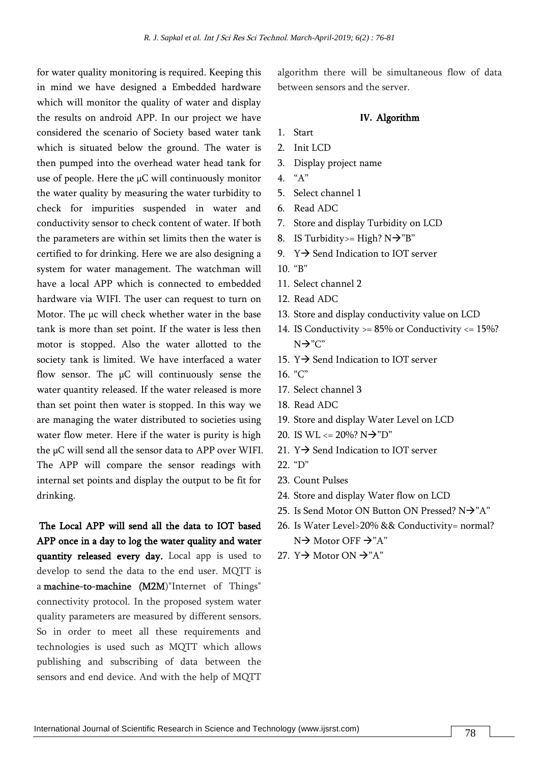for water quality monitoring is required. Keeping this in mind we have designed a Embedded hardware which will monitor the quality of water and display the results on android APP. In our project we have considered the scenario of Society based water tank which is situated below the ground. The water is then pumped into the overhead water head tank for use of people. Here the µC will continuously monitor the water quality by measuring the water turbidity to check for impurities suspended in water and conductivity sensor to check content of water. If both the parameters are within set limits then the water is certified to for drinking. Here we are also designing a system for water management. The watchman will have a local APP which is connected to embedded hardware via WIFI. The user can request to turn on Motor. The µc will check whether water in the base tank is more than set point. If the water is less then motor is stopped. Also the water allotted to the society tank is limited. We have interfaced a water flow sensor. The  $\mu$ C will continuously sense the water quantity released. If the water released is more than set point then water is stopped. In this way we are managing the water distributed to societies using water flow meter. Here if the water is purity is high the µC will send all the sensor data to APP over WIFI. The APP will compare the sensor readings with internal set points and display the output to be fit for drinking.

The Local APP will send all the data to IOT based APP once in a day to log the water quality and water quantity released every day. Local app is used to develop to send the data to the end user. MQTT is a machine-to-machine (M2M)"Internet of Things" connectivity protocol. In the proposed system water quality parameters are measured by different sensors. So in order to meet all these requirements and technologies is used such as MQTT which allows publishing and subscribing of data between the sensors and end device. And with the help of MQTT

algorithm there will be simultaneous flow of data between sensors and the server.

#### **IV.** Algorithm

- 1. Start
- 2. Init LCD
- 3. Display project name
- 4. "A"
- 5. Select channel 1
- 6. Read ADC
- 7. Store and display Turbidity on LCD
- 8. IS Turbidity>= High?  $N\rightarrow$ "B"
- 9.  $Y \rightarrow$  Send Indication to IOT server
- 10. "B"
- 11. Select channel 2
- 12. Read ADC
- 13. Store and display conductivity value on LCD
- 14. IS Conductivity  $> = 85\%$  or Conductivity  $\lt = 15\%$ ? N→"C"
- 15.  $Y \rightarrow$  Send Indication to IOT server
- $16$  "C"
- 17. Select channel 3
- 18. Read ADC
- 19. Store and display Water Level on LCD
- 20. IS WL <=  $20\%$ ? N $\rightarrow$ "D"
- 21.  $Y \rightarrow$  Send Indication to IOT server
- 22. "D"
- 23. Count Pulses
- 24. Store and display Water flow on LCD
- 25. Is Send Motor ON Button ON Pressed? N→"A"
- 26. Is Water Level>20% && Conductivity= normal? N→ Motor OFF → "A"
- 27.  $Y \rightarrow$  Motor ON  $\rightarrow$  "A"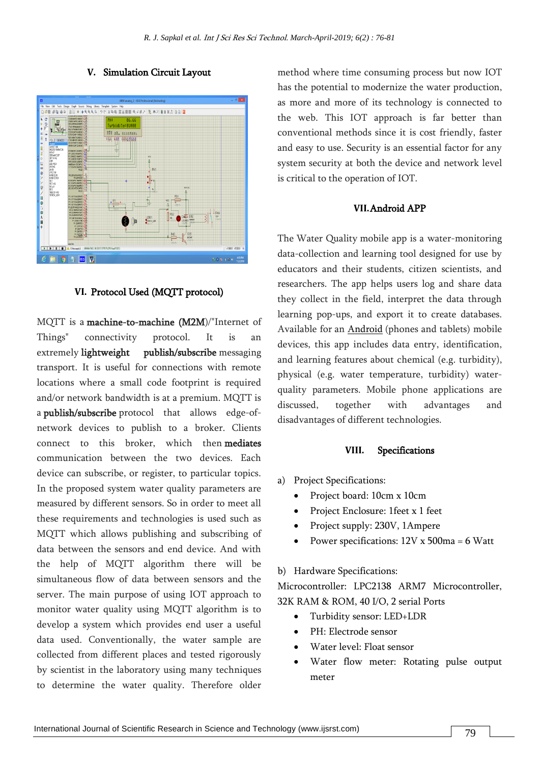

#### **V.** Simulation Circuit Layout

## **VI.** Protocol Used (MQTT protocol)

MQTT is a machine-to-machine (M2M)/"Internet of Things" connectivity protocol. It is an extremely lightweight publish/subscribe messaging transport. It is useful for connections with remote locations where a small code footprint is required and/or network bandwidth is at a premium. MQTT is a publish/subscribe protocol that allows edge-ofnetwork devices to publish to a broker. Clients connect to this broker, which then mediates communication between the two devices. Each device can subscribe, or register, to particular topics. In the proposed system water quality parameters are measured by different sensors. So in order to meet all these requirements and technologies is used such as MQTT which allows publishing and subscribing of data between the sensors and end device. And with the help of MQTT algorithm there will be simultaneous flow of data between sensors and the server. The main purpose of using IOT approach to monitor water quality using MQTT algorithm is to develop a system which provides end user a useful data used. Conventionally, the water sample are collected from different places and tested rigorously by scientist in the laboratory using many techniques to determine the water quality. Therefore older

method where time consuming process but now IOT has the potential to modernize the water production, as more and more of its technology is connected to the web. This IOT approach is far better than conventional methods since it is cost friendly, faster and easy to use. Security is an essential factor for any system security at both the device and network level is critical to the operation of IOT.

### **VII.**Android APP

The Water Quality mobile app is a water-monitoring data-collection and learning tool designed for use by educators and their students, citizen scientists, and researchers. The app helps users log and share data they collect in the field, interpret the data through learning pop-ups, and export it to create databases. Available for an [Android](https://play.google.com/store/apps/details?id=com.nku.waterquality&hl=en) (phones and tablets) mobile devices, this app includes data entry, identification, and learning features about chemical (e.g. turbidity), physical (e.g. water temperature, turbidity) waterquality parameters. Mobile phone applications are discussed, together with advantages and disadvantages of different technologies.

#### **VIII.** Specifications

- a) Project Specifications:
	- Project board: 10cm x 10cm
	- Project Enclosure: 1feet x 1 feet
	- Project supply: 230V, 1Ampere
	- Power specifications: 12V x 500ma = 6 Watt

#### b) Hardware Specifications:

Microcontroller: LPC2138 ARM7 Microcontroller, 32K RAM & ROM, 40 I/O, 2 serial Ports

- Turbidity sensor: LED+LDR
- PH: Electrode sensor
- Water level: Float sensor
- Water flow meter: Rotating pulse output meter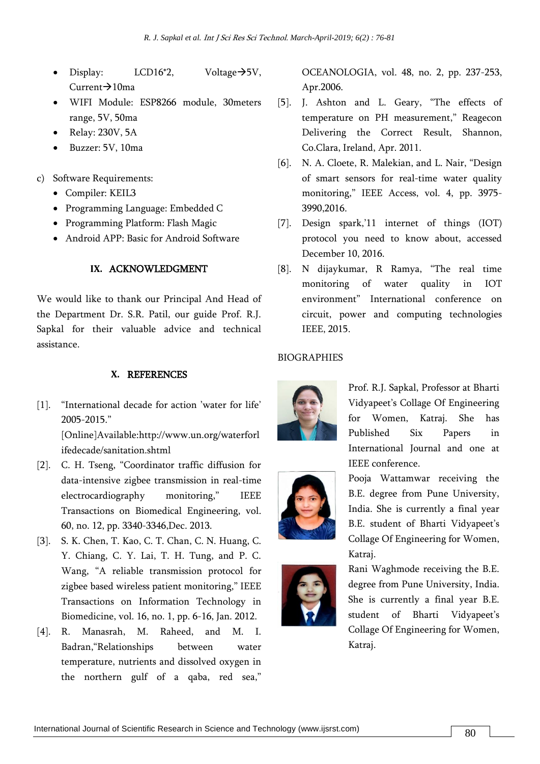- Display: LCD16<sup>\*</sup>2, Voltage $\rightarrow$ 5V, Current→10ma
- WIFI Module: ESP8266 module, 30meters range, 5V, 50ma
- Relay: 230V, 5A
- Buzzer: 5V, 10ma
- c) Software Requirements:
	- Compiler: KEIL3
	- Programming Language: Embedded C
	- Programming Platform: Flash Magic
	- Android APP: Basic for Android Software

# **IX.** ACKNOWLEDGMENT

We would like to thank our Principal And Head of the Department Dr. S.R. Patil, our guide Prof. R.J. Sapkal for their valuable advice and technical assistance.

# **X.** REFERENCES

[1]. "International decade for action 'water for life' 2005-2015." [Online]Available:http://www.un.org/waterforl

ifedecade/sanitation.shtml

- [2]. C. H. Tseng, "Coordinator traffic diffusion for data-intensive zigbee transmission in real-time electrocardiography monitoring," IEEE Transactions on Biomedical Engineering, vol. 60, no. 12, pp. 3340-3346,Dec. 2013.
- [3]. S. K. Chen, T. Kao, C. T. Chan, C. N. Huang, C. Y. Chiang, C. Y. Lai, T. H. Tung, and P. C. Wang, "A reliable transmission protocol for zigbee based wireless patient monitoring," IEEE Transactions on Information Technology in Biomedicine, vol. 16, no. 1, pp. 6-16, Jan. 2012.
- [4]. R. Manasrah, M. Raheed, and M. I. Badran,"Relationships between water temperature, nutrients and dissolved oxygen in the northern gulf of a qaba, red sea,"

OCEANOLOGIA, vol. 48, no. 2, pp. 237-253, Apr.2006.

- [5]. J. Ashton and L. Geary, "The effects of temperature on PH measurement," Reagecon Delivering the Correct Result, Shannon, Co.Clara, Ireland, Apr. 2011.
- [6]. N. A. Cloete, R. Malekian, and L. Nair, "Design of smart sensors for real-time water quality monitoring," IEEE Access, vol. 4, pp. 3975- 3990,2016.
- [7]. Design spark,'11 internet of things (IOT) protocol you need to know about, accessed December 10, 2016.
- [8]. N dijaykumar, R Ramya, "The real time monitoring of water quality in IOT environment" International conference on circuit, power and computing technologies IEEE, 2015.

# **BIOGRAPHIES**



Prof. R.J. Sapkal, Professor at Bharti Vidyapeet's Collage Of Engineering for Women, Katraj. She has Published Six Papers in International Journal and one at IEEE conference.



Pooja Wattamwar receiving the B.E. degree from Pune University, India. She is currently a final year B.E. student of Bharti Vidyapeet's Collage Of Engineering for Women, Katraj.



Rani Waghmode receiving the B.E. degree from Pune University, India. She is currently a final year B.E. student of Bharti Vidyapeet's Collage Of Engineering for Women, Katraj.